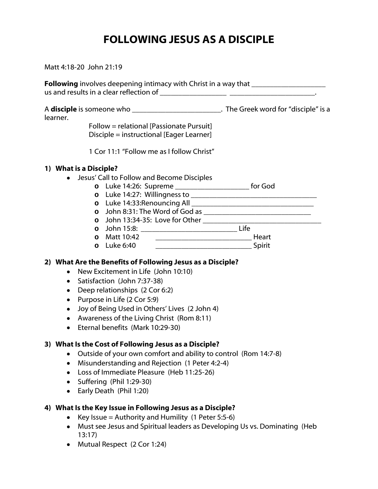# FOLLOWING JESUS AS A DISCIPLE

Matt 4:18-20 John 21:19

Following involves deepening intimacy with Christ in a way that \_\_\_\_\_\_\_\_\_\_\_\_\_\_\_\_ us and results in a clear reflection of \_\_\_\_\_\_\_\_\_\_\_\_\_\_\_\_\_\_ \_\_\_\_\_\_\_\_\_\_\_\_\_\_\_\_\_\_\_\_\_\_\_. A **disciple** is someone who **and in the Creek word for "disciple"** is a learner. Follow = relational [Passionate Pursuit] Disciple = instructional [Eager Learner] 1 Cor 11:1 "Follow me as I follow Christ" 1) What is a Disciple? • Jesus' Call to Follow and Become Disciples **o** Luke 14:26: Supreme \_\_\_\_\_\_\_\_\_\_\_\_\_\_\_\_\_\_\_\_ for God **o** Luke 14:27: Willingness to \_\_\_\_\_\_\_\_\_\_\_\_\_\_\_\_\_\_\_\_\_\_\_\_\_\_\_\_\_\_\_\_\_\_ **o** Luke 14:33:Renouncing All **o** John 8:31: The Word of God as \_\_\_\_\_\_\_\_\_\_\_\_\_\_\_\_\_\_\_\_\_\_\_\_\_\_\_\_\_ **o** John 13:34-35: Love for Other \_\_\_\_\_\_\_\_\_\_\_\_\_\_\_\_\_\_\_\_\_\_\_\_\_\_\_\_\_\_\_\_ **o** John 15:8: \_\_\_\_\_\_\_\_\_\_\_\_\_\_\_\_\_\_\_\_\_\_\_\_\_\_ Life **o** Matt 10:42 \_\_\_\_\_\_\_\_\_\_\_\_\_\_\_\_\_\_\_\_\_\_\_\_\_\_ Heart **o** Luke 6:40 \_\_\_\_\_\_\_\_\_\_\_\_\_\_\_\_\_\_\_\_\_\_\_\_\_\_ Spirit 2) What Are the Benefits of Following Jesus as a Disciple?

- New Excitement in Life (John 10:10)
- Satisfaction (John 7:37-38)
- Deep relationships (2 Cor 6:2)
- Purpose in Life (2 Cor 5:9)
- Joy of Being Used in Others' Lives (2 John 4)
- Awareness of the Living Christ (Rom 8:11)
- Eternal benefits (Mark 10:29-30)

# 3) What Is the Cost of Following Jesus as a Disciple?

- Outside of your own comfort and ability to control (Rom 14:7-8)
- Misunderstanding and Rejection (1 Peter 4:2-4)
- Loss of Immediate Pleasure (Heb 11:25-26)
- Suffering (Phil 1:29-30)
- Early Death (Phil 1:20)

# 4) What Is the Key Issue in Following Jesus as a Disciple?

- Key Issue = Authority and Humility  $(1$  Peter 5:5-6)
- Must see Jesus and Spiritual leaders as Developing Us vs. Dominating (Heb 13:17)
- Mutual Respect (2 Cor 1:24)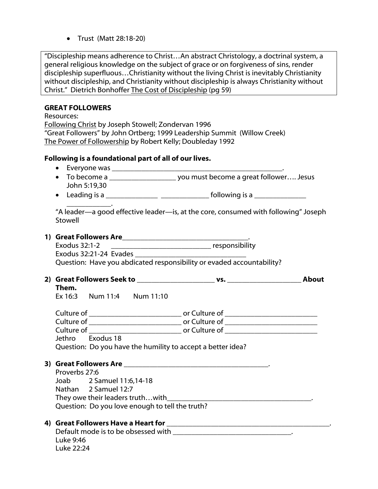• Trust (Matt 28:18-20)

"Discipleship means adherence to Christ…An abstract Christology, a doctrinal system, a general religious knowledge on the subject of grace or on forgiveness of sins, render discipleship superfluous…Christianity without the living Christ is inevitably Christianity without discipleship, and Christianity without discipleship is always Christianity without Christ." Dietrich Bonhoffer The Cost of Discipleship (pg 59)

### GREAT FOLLOWERS

Luke 9:46 Luke 22:24

Resources: Following Christ by Joseph Stowell; Zondervan 1996 "Great Followers" by John Ortberg; 1999 Leadership Summit (Willow Creek) The Power of Followership by Robert Kelly; Doubleday 1992 Following is a foundational part of all of our lives. • Everyone was \_\_\_\_\_\_\_\_\_\_\_\_\_\_\_\_\_\_\_\_\_\_\_\_\_\_\_\_\_\_\_\_\_\_\_\_\_\_\_\_\_\_\_\_\_\_. • To become a \_\_\_\_\_\_\_\_\_\_\_\_\_\_\_\_\_\_\_\_\_\_\_\_\_\_ you must become a great follower.... Jesus John 5:19,30 • Leading is a \_\_\_\_\_\_\_\_\_\_\_\_\_\_ \_\_\_\_\_\_\_\_\_\_\_\_\_ following is a \_\_\_\_\_\_\_\_\_\_\_\_\_\_ \_\_\_\_\_\_\_\_\_\_\_\_. "A leader—a good effective leader—is, at the core, consumed with following" Joseph Stowell 1) Great Followers Are\_\_\_\_\_\_\_\_\_\_\_\_\_\_\_\_\_\_\_\_\_\_\_\_\_\_\_\_\_\_\_\_\_\_. Exodus 32:1-2 \_\_\_\_\_\_\_\_\_\_\_\_\_\_\_\_\_\_\_\_\_\_\_\_\_\_\_ responsibility Exodus 32:21-24 Evades Question: Have you abdicated responsibility or evaded accountability? 2) Great Followers Seek to \_\_\_\_\_\_\_\_\_\_\_\_\_\_\_\_\_\_\_\_\_ vs. \_\_\_\_\_\_\_\_\_\_\_\_\_\_\_\_\_\_\_\_ About Them. Ex 16:3 Num 11:4 Num 11:10 Culture of \_\_\_\_\_\_\_\_\_\_\_\_\_\_\_\_\_\_\_\_\_\_\_\_\_ or Culture of \_\_\_\_\_\_\_\_\_\_\_\_\_\_\_\_\_\_\_\_\_\_\_\_\_ Culture of \_\_\_\_\_\_\_\_\_\_\_\_\_\_\_\_\_\_\_\_\_\_\_\_\_ or Culture of \_\_\_\_\_\_\_\_\_\_\_\_\_\_\_\_\_\_\_\_\_\_\_\_\_ Culture of \_\_\_\_\_\_\_\_\_\_\_\_\_\_\_\_\_\_\_\_\_\_\_\_\_ or Culture of \_\_\_\_\_\_\_\_\_\_\_\_\_\_\_\_\_\_\_\_\_\_\_\_\_ Jethro Exodus 18 Question: Do you have the humility to accept a better idea? 3) Great Followers Are \_\_\_\_\_\_\_\_\_\_\_\_\_\_\_\_\_\_\_\_\_\_\_\_\_\_\_\_\_\_\_\_\_\_\_\_\_\_\_. Proverbs 27:6 Joab 2 Samuel 11:6,14-18 Nathan 2 Samuel 12:7 They owe their leaders truth...with Question: Do you love enough to tell the truth? 4) Great Followers Have a Heart for \_\_\_\_\_\_\_\_\_\_\_\_\_\_\_\_\_\_\_\_\_\_\_\_\_\_\_\_\_\_\_\_\_\_\_\_\_\_\_\_\_\_\_\_. Default mode is to be obsessed with  $\Box$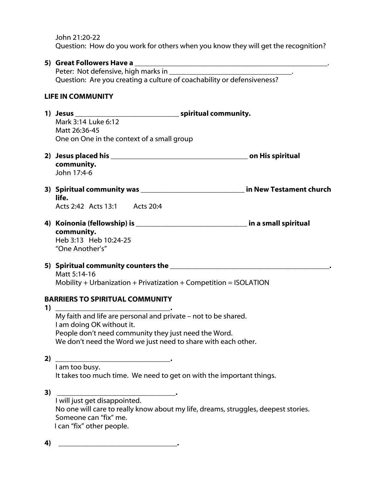John 21:20-22 Question: How do you work for others when you know they will get the recognition?

|                          | 5) Great Followers Have a                                                           |
|--------------------------|-------------------------------------------------------------------------------------|
|                          |                                                                                     |
|                          | Question: Are you creating a culture of coachability or defensiveness?              |
|                          |                                                                                     |
| <b>LIFE IN COMMUNITY</b> |                                                                                     |
|                          |                                                                                     |
|                          |                                                                                     |
|                          | Mark 3:14 Luke 6:12                                                                 |
|                          | Matt 26:36-45                                                                       |
|                          | One on One in the context of a small group                                          |
|                          |                                                                                     |
|                          |                                                                                     |
|                          | community.                                                                          |
|                          | John 17:4-6                                                                         |
|                          | 3) Spiritual community was ________________________________ in New Testament church |
|                          | life.                                                                               |
|                          | Acts 2:42 Acts 13:1 Acts 20:4                                                       |
|                          |                                                                                     |
|                          |                                                                                     |
|                          | community.                                                                          |
|                          | Heb 3:13 Heb 10:24-25                                                               |
|                          | "One Another's"                                                                     |
|                          |                                                                                     |
|                          |                                                                                     |
|                          | Matt 5:14-16                                                                        |
|                          | Mobility + Urbanization + Privatization + Competition = $ISOLATION$                 |
|                          |                                                                                     |
|                          | <b>BARRIERS TO SPIRITUAL COMMUNITY</b>                                              |
| 1)                       |                                                                                     |
|                          | My faith and life are personal and private - not to be shared.                      |
|                          | I am doing OK without it.                                                           |
|                          | People don't need community they just need the Word.                                |
|                          | We don't need the Word we just need to share with each other.                       |
| 2)                       |                                                                                     |
|                          | I am too busy.                                                                      |
|                          | It takes too much time. We need to get on with the important things.                |
|                          |                                                                                     |
| 3)                       |                                                                                     |
|                          | I will just get disappointed.                                                       |
|                          | No one will care to really know about my life, dreams, struggles, deepest stories.  |
|                          | Someone can "fix" me.                                                               |
|                          | I can "fix" other people.                                                           |
|                          |                                                                                     |
| 4)                       |                                                                                     |